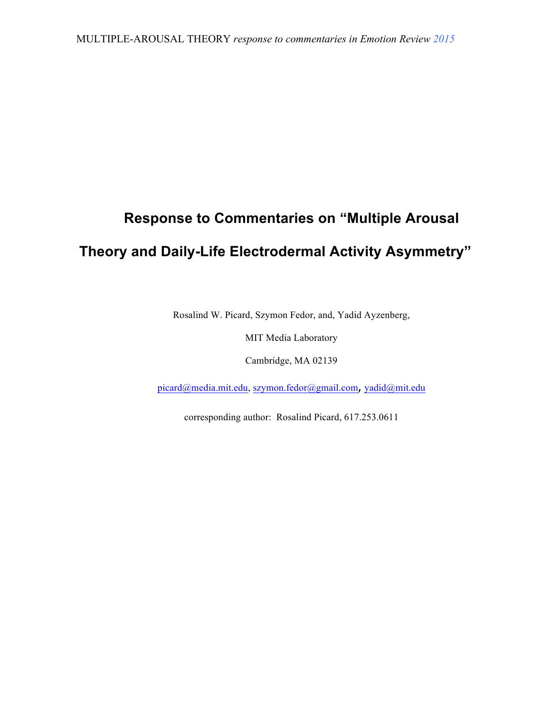## **Response to Commentaries on "Multiple Arousal**

## **Theory and Daily-Life Electrodermal Activity Asymmetry"**

Rosalind W. Picard, Szymon Fedor, and, Yadid Ayzenberg,

MIT Media Laboratory

Cambridge, MA 02139

picard@media.mit.edu, szymon.fedor@gmail.com, yadid@mit.edu

corresponding author: Rosalind Picard, 617.253.0611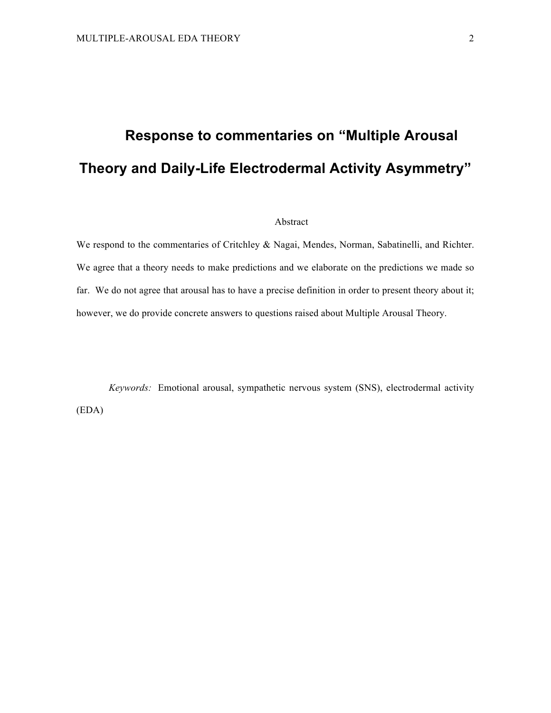# **Response to commentaries on "Multiple Arousal Theory and Daily-Life Electrodermal Activity Asymmetry"**

#### Abstract

We respond to the commentaries of Critchley & Nagai, Mendes, Norman, Sabatinelli, and Richter. We agree that a theory needs to make predictions and we elaborate on the predictions we made so far. We do not agree that arousal has to have a precise definition in order to present theory about it; however, we do provide concrete answers to questions raised about Multiple Arousal Theory.

*Keywords:* Emotional arousal, sympathetic nervous system (SNS), electrodermal activity (EDA)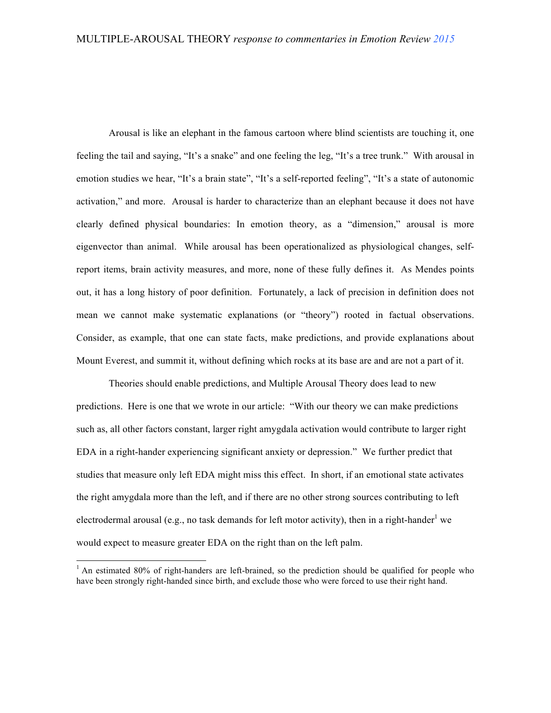Arousal is like an elephant in the famous cartoon where blind scientists are touching it, one feeling the tail and saying, "It's a snake" and one feeling the leg, "It's a tree trunk." With arousal in emotion studies we hear, "It's a brain state", "It's a self-reported feeling", "It's a state of autonomic activation," and more. Arousal is harder to characterize than an elephant because it does not have clearly defined physical boundaries: In emotion theory, as a "dimension," arousal is more eigenvector than animal. While arousal has been operationalized as physiological changes, selfreport items, brain activity measures, and more, none of these fully defines it. As Mendes points out, it has a long history of poor definition. Fortunately, a lack of precision in definition does not mean we cannot make systematic explanations (or "theory") rooted in factual observations. Consider, as example, that one can state facts, make predictions, and provide explanations about Mount Everest, and summit it, without defining which rocks at its base are and are not a part of it.

Theories should enable predictions, and Multiple Arousal Theory does lead to new predictions. Here is one that we wrote in our article: "With our theory we can make predictions such as, all other factors constant, larger right amygdala activation would contribute to larger right EDA in a right-hander experiencing significant anxiety or depression." We further predict that studies that measure only left EDA might miss this effect. In short, if an emotional state activates the right amygdala more than the left, and if there are no other strong sources contributing to left electrodermal arousal (e.g., no task demands for left motor activity), then in a right-hander<sup>1</sup> we would expect to measure greater EDA on the right than on the left palm.

 $1$  An estimated 80% of right-handers are left-brained, so the prediction should be qualified for people who have been strongly right-handed since birth, and exclude those who were forced to use their right hand.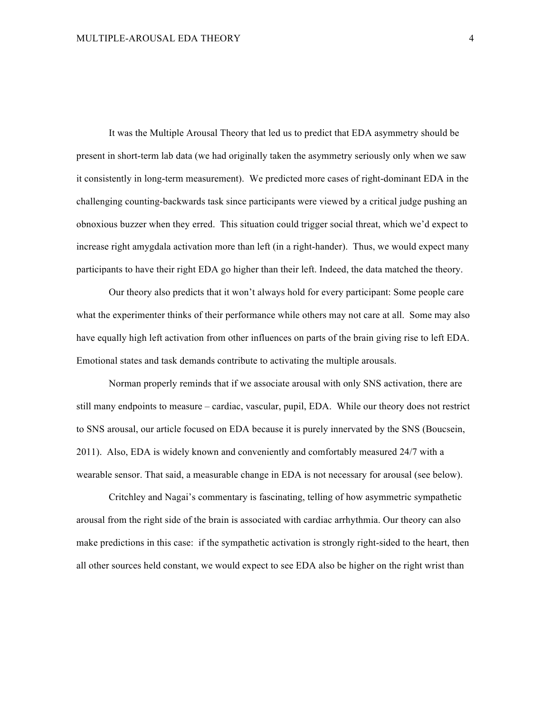It was the Multiple Arousal Theory that led us to predict that EDA asymmetry should be present in short-term lab data (we had originally taken the asymmetry seriously only when we saw it consistently in long-term measurement). We predicted more cases of right-dominant EDA in the challenging counting-backwards task since participants were viewed by a critical judge pushing an obnoxious buzzer when they erred. This situation could trigger social threat, which we'd expect to increase right amygdala activation more than left (in a right-hander). Thus, we would expect many participants to have their right EDA go higher than their left. Indeed, the data matched the theory.

Our theory also predicts that it won't always hold for every participant: Some people care what the experimenter thinks of their performance while others may not care at all. Some may also have equally high left activation from other influences on parts of the brain giving rise to left EDA. Emotional states and task demands contribute to activating the multiple arousals.

Norman properly reminds that if we associate arousal with only SNS activation, there are still many endpoints to measure – cardiac, vascular, pupil, EDA. While our theory does not restrict to SNS arousal, our article focused on EDA because it is purely innervated by the SNS (Boucsein, 2011). Also, EDA is widely known and conveniently and comfortably measured 24/7 with a wearable sensor. That said, a measurable change in EDA is not necessary for arousal (see below).

Critchley and Nagai's commentary is fascinating, telling of how asymmetric sympathetic arousal from the right side of the brain is associated with cardiac arrhythmia. Our theory can also make predictions in this case: if the sympathetic activation is strongly right-sided to the heart, then all other sources held constant, we would expect to see EDA also be higher on the right wrist than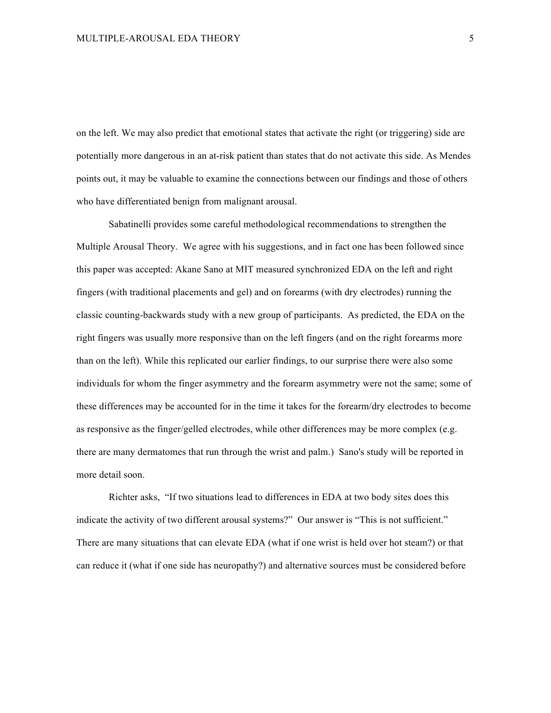on the left. We may also predict that emotional states that activate the right (or triggering) side are potentially more dangerous in an at-risk patient than states that do not activate this side. As Mendes points out, it may be valuable to examine the connections between our findings and those of others who have differentiated benign from malignant arousal.

Sabatinelli provides some careful methodological recommendations to strengthen the Multiple Arousal Theory. We agree with his suggestions, and in fact one has been followed since this paper was accepted: Akane Sano at MIT measured synchronized EDA on the left and right fingers (with traditional placements and gel) and on forearms (with dry electrodes) running the classic counting-backwards study with a new group of participants. As predicted, the EDA on the right fingers was usually more responsive than on the left fingers (and on the right forearms more than on the left). While this replicated our earlier findings, to our surprise there were also some individuals for whom the finger asymmetry and the forearm asymmetry were not the same; some of these differences may be accounted for in the time it takes for the forearm/dry electrodes to become as responsive as the finger/gelled electrodes, while other differences may be more complex (e.g. there are many dermatomes that run through the wrist and palm.) Sano's study will be reported in more detail soon.

Richter asks, "If two situations lead to differences in EDA at two body sites does this indicate the activity of two different arousal systems?" Our answer is "This is not sufficient." There are many situations that can elevate EDA (what if one wrist is held over hot steam?) or that can reduce it (what if one side has neuropathy?) and alternative sources must be considered before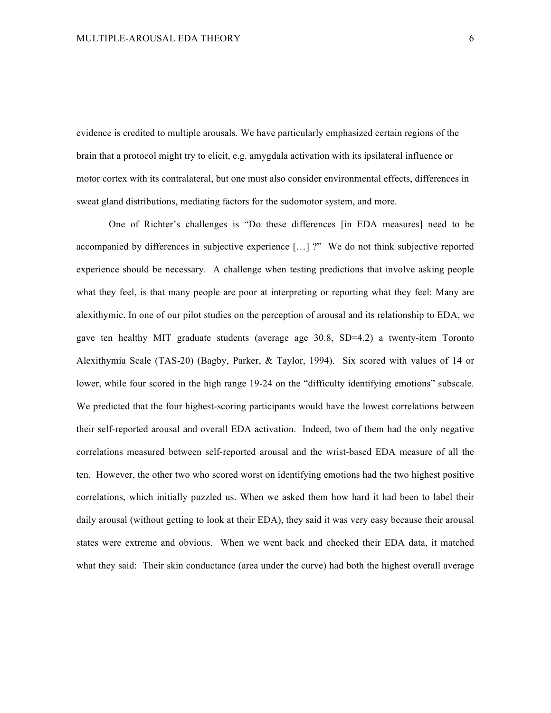evidence is credited to multiple arousals. We have particularly emphasized certain regions of the brain that a protocol might try to elicit, e.g. amygdala activation with its ipsilateral influence or motor cortex with its contralateral, but one must also consider environmental effects, differences in sweat gland distributions, mediating factors for the sudomotor system, and more.

One of Richter's challenges is "Do these differences [in EDA measures] need to be accompanied by differences in subjective experience […] ?" We do not think subjective reported experience should be necessary. A challenge when testing predictions that involve asking people what they feel, is that many people are poor at interpreting or reporting what they feel: Many are alexithymic. In one of our pilot studies on the perception of arousal and its relationship to EDA, we gave ten healthy MIT graduate students (average age 30.8, SD=4.2) a twenty-item Toronto Alexithymia Scale (TAS-20) (Bagby, Parker, & Taylor, 1994). Six scored with values of 14 or lower, while four scored in the high range 19-24 on the "difficulty identifying emotions" subscale. We predicted that the four highest-scoring participants would have the lowest correlations between their self-reported arousal and overall EDA activation. Indeed, two of them had the only negative correlations measured between self-reported arousal and the wrist-based EDA measure of all the ten. However, the other two who scored worst on identifying emotions had the two highest positive correlations, which initially puzzled us. When we asked them how hard it had been to label their daily arousal (without getting to look at their EDA), they said it was very easy because their arousal states were extreme and obvious. When we went back and checked their EDA data, it matched what they said: Their skin conductance (area under the curve) had both the highest overall average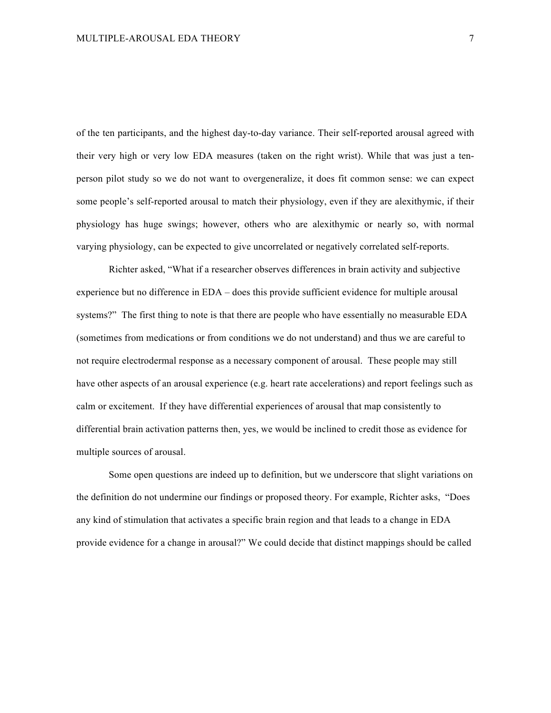of the ten participants, and the highest day-to-day variance. Their self-reported arousal agreed with their very high or very low EDA measures (taken on the right wrist). While that was just a tenperson pilot study so we do not want to overgeneralize, it does fit common sense: we can expect some people's self-reported arousal to match their physiology, even if they are alexithymic, if their physiology has huge swings; however, others who are alexithymic or nearly so, with normal varying physiology, can be expected to give uncorrelated or negatively correlated self-reports.

Richter asked, "What if a researcher observes differences in brain activity and subjective experience but no difference in EDA – does this provide sufficient evidence for multiple arousal systems?" The first thing to note is that there are people who have essentially no measurable EDA (sometimes from medications or from conditions we do not understand) and thus we are careful to not require electrodermal response as a necessary component of arousal. These people may still have other aspects of an arousal experience (e.g. heart rate accelerations) and report feelings such as calm or excitement. If they have differential experiences of arousal that map consistently to differential brain activation patterns then, yes, we would be inclined to credit those as evidence for multiple sources of arousal.

Some open questions are indeed up to definition, but we underscore that slight variations on the definition do not undermine our findings or proposed theory. For example, Richter asks, "Does any kind of stimulation that activates a specific brain region and that leads to a change in EDA provide evidence for a change in arousal?" We could decide that distinct mappings should be called